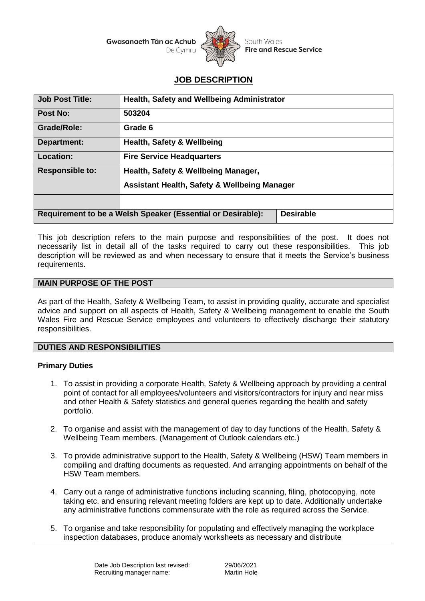**Gwasanaeth Tân ac Achub** 



South Wales **Fire and Rescue Service** 

# **JOB DESCRIPTION**

| Job Post Title:                                                                 | Health, Safety and Wellbeing Administrator              |  |
|---------------------------------------------------------------------------------|---------------------------------------------------------|--|
| Post No:                                                                        | 503204                                                  |  |
| <b>Grade/Role:</b>                                                              | Grade 6                                                 |  |
| Department:                                                                     | <b>Health, Safety &amp; Wellbeing</b>                   |  |
| <b>Location:</b>                                                                | <b>Fire Service Headquarters</b>                        |  |
| <b>Responsible to:</b>                                                          | Health, Safety & Wellbeing Manager,                     |  |
|                                                                                 | <b>Assistant Health, Safety &amp; Wellbeing Manager</b> |  |
|                                                                                 |                                                         |  |
| Requirement to be a Welsh Speaker (Essential or Desirable):<br><b>Desirable</b> |                                                         |  |

This job description refers to the main purpose and responsibilities of the post. It does not necessarily list in detail all of the tasks required to carry out these responsibilities. This job description will be reviewed as and when necessary to ensure that it meets the Service's business requirements.

#### **MAIN PURPOSE OF THE POST**

As part of the Health, Safety & Wellbeing Team, to assist in providing quality, accurate and specialist advice and support on all aspects of Health, Safety & Wellbeing management to enable the South Wales Fire and Rescue Service employees and volunteers to effectively discharge their statutory responsibilities.

#### **DUTIES AND RESPONSIBILITIES**

#### **Primary Duties**

- 1. To assist in providing a corporate Health, Safety & Wellbeing approach by providing a central point of contact for all employees/volunteers and visitors/contractors for injury and near miss and other Health & Safety statistics and general queries regarding the health and safety portfolio.
- 2. To organise and assist with the management of day to day functions of the Health, Safety & Wellbeing Team members. (Management of Outlook calendars etc.)
- 3. To provide administrative support to the Health, Safety & Wellbeing (HSW) Team members in compiling and drafting documents as requested. And arranging appointments on behalf of the HSW Team members.
- 4. Carry out a range of administrative functions including scanning, filing, photocopying, note taking etc. and ensuring relevant meeting folders are kept up to date. Additionally undertake any administrative functions commensurate with the role as required across the Service.
- 5. To organise and take responsibility for populating and effectively managing the workplace inspection databases, produce anomaly worksheets as necessary and distribute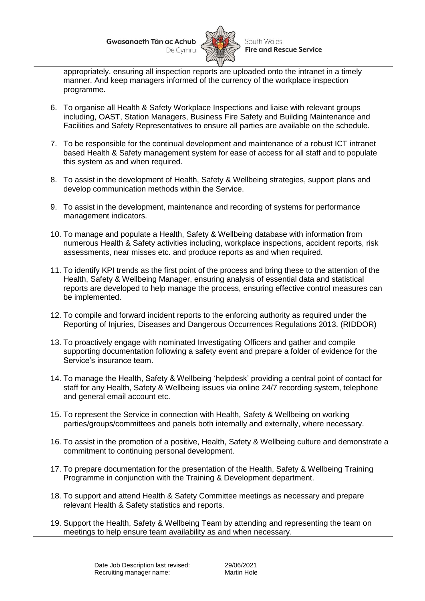**Gwasanaeth Tân ac Achub** 



appropriately, ensuring all inspection reports are uploaded onto the intranet in a timely manner. And keep managers informed of the currency of the workplace inspection programme.

- 6. To organise all Health & Safety Workplace Inspections and liaise with relevant groups including, OAST, Station Managers, Business Fire Safety and Building Maintenance and Facilities and Safety Representatives to ensure all parties are available on the schedule.
- 7. To be responsible for the continual development and maintenance of a robust ICT intranet based Health & Safety management system for ease of access for all staff and to populate this system as and when required.
- 8. To assist in the development of Health, Safety & Wellbeing strategies, support plans and develop communication methods within the Service.
- 9. To assist in the development, maintenance and recording of systems for performance management indicators.
- 10. To manage and populate a Health, Safety & Wellbeing database with information from numerous Health & Safety activities including, workplace inspections, accident reports, risk assessments, near misses etc. and produce reports as and when required.
- 11. To identify KPI trends as the first point of the process and bring these to the attention of the Health, Safety & Wellbeing Manager, ensuring analysis of essential data and statistical reports are developed to help manage the process, ensuring effective control measures can be implemented.
- 12. To compile and forward incident reports to the enforcing authority as required under the Reporting of Injuries, Diseases and Dangerous Occurrences Regulations 2013. (RIDDOR)
- 13. To proactively engage with nominated Investigating Officers and gather and compile supporting documentation following a safety event and prepare a folder of evidence for the Service's insurance team.
- 14. To manage the Health, Safety & Wellbeing 'helpdesk' providing a central point of contact for staff for any Health, Safety & Wellbeing issues via online 24/7 recording system, telephone and general email account etc.
- 15. To represent the Service in connection with Health, Safety & Wellbeing on working parties/groups/committees and panels both internally and externally, where necessary.
- 16. To assist in the promotion of a positive, Health, Safety & Wellbeing culture and demonstrate a commitment to continuing personal development.
- 17. To prepare documentation for the presentation of the Health, Safety & Wellbeing Training Programme in conjunction with the Training & Development department.
- 18. To support and attend Health & Safety Committee meetings as necessary and prepare relevant Health & Safety statistics and reports.
- 19. Support the Health, Safety & Wellbeing Team by attending and representing the team on meetings to help ensure team availability as and when necessary.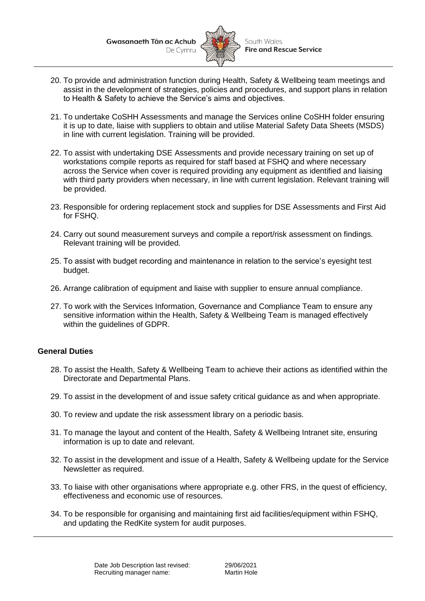**Gwasanaeth Tân ac Achub** 



- 20. To provide and administration function during Health, Safety & Wellbeing team meetings and assist in the development of strategies, policies and procedures, and support plans in relation to Health & Safety to achieve the Service's aims and objectives.
- 21. To undertake CoSHH Assessments and manage the Services online CoSHH folder ensuring it is up to date, liaise with suppliers to obtain and utilise Material Safety Data Sheets (MSDS) in line with current legislation. Training will be provided.
- 22. To assist with undertaking DSE Assessments and provide necessary training on set up of workstations compile reports as required for staff based at FSHQ and where necessary across the Service when cover is required providing any equipment as identified and liaising with third party providers when necessary, in line with current legislation. Relevant training will be provided.
- 23. Responsible for ordering replacement stock and supplies for DSE Assessments and First Aid for FSHQ.
- 24. Carry out sound measurement surveys and compile a report/risk assessment on findings. Relevant training will be provided.
- 25. To assist with budget recording and maintenance in relation to the service's eyesight test budget.
- 26. Arrange calibration of equipment and liaise with supplier to ensure annual compliance.
- 27. To work with the Services Information, Governance and Compliance Team to ensure any sensitive information within the Health, Safety & Wellbeing Team is managed effectively within the guidelines of GDPR.

## **General Duties**

- 28. To assist the Health, Safety & Wellbeing Team to achieve their actions as identified within the Directorate and Departmental Plans.
- 29. To assist in the development of and issue safety critical guidance as and when appropriate.
- 30. To review and update the risk assessment library on a periodic basis.
- 31. To manage the layout and content of the Health, Safety & Wellbeing Intranet site, ensuring information is up to date and relevant.
- 32. To assist in the development and issue of a Health, Safety & Wellbeing update for the Service Newsletter as required.
- 33. To liaise with other organisations where appropriate e.g. other FRS, in the quest of efficiency, effectiveness and economic use of resources.
- 34. To be responsible for organising and maintaining first aid facilities/equipment within FSHQ, and updating the RedKite system for audit purposes.